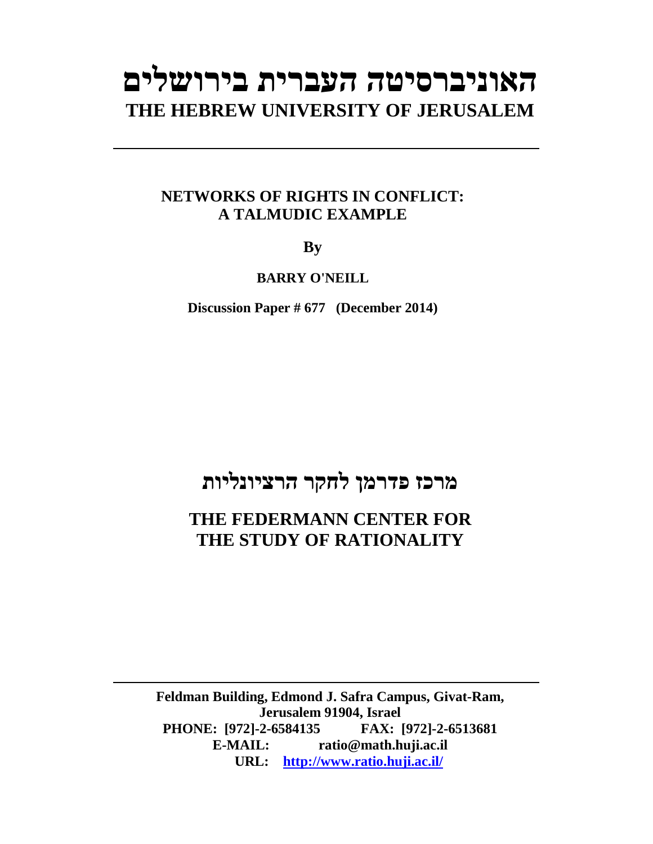# **האוניברסיטה העברית בירושלים THE HEBREW UNIVERSITY OF JERUSALEM**

### **NETWORKS OF RIGHTS IN CONFLICT: A TALMUDIC EXAMPLE**

**By** 

**BARRY O'NEILL** 

**Discussion Paper # 677 (December 2014)**

### **מרכז פדרמן לחקר הרציונליות**

### **THE FEDERMANN CENTER FOR THE STUDY OF RATIONALITY**

**Feldman Building, Edmond J. Safra Campus, Givat-Ram, Jerusalem 91904, Israel PHONE: [972]-2-6584135 FAX: [972]-2-6513681 E-MAIL: ratio@math.huji.ac.il URL: http://www.ratio.huji.ac.il/**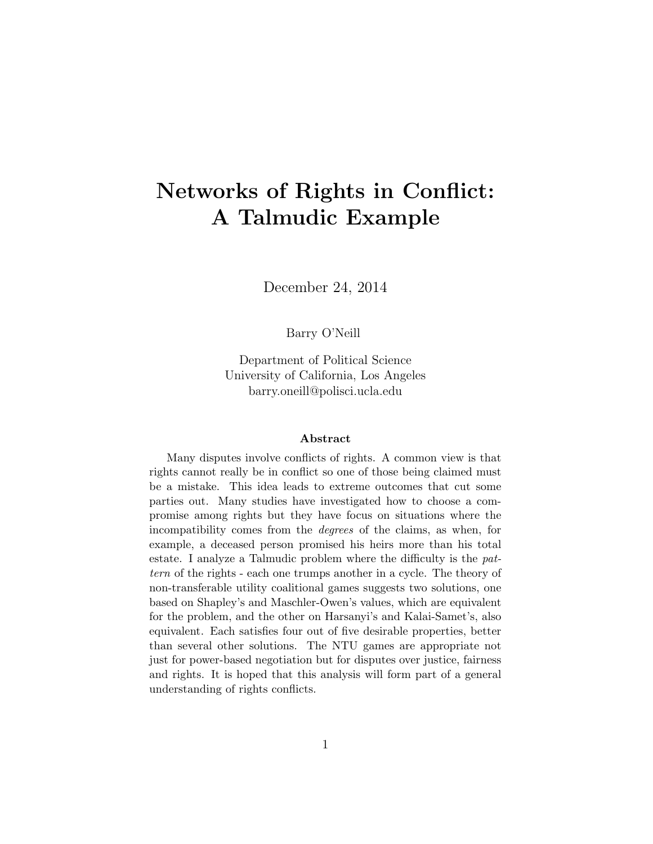## Networks of Rights in Conflict: A Talmudic Example

December 24, 2014

Barry O'Neill

Department of Political Science University of California, Los Angeles barry.oneill@polisci.ucla.edu

#### Abstract

Many disputes involve conflicts of rights. A common view is that rights cannot really be in conflict so one of those being claimed must be a mistake. This idea leads to extreme outcomes that cut some parties out. Many studies have investigated how to choose a compromise among rights but they have focus on situations where the incompatibility comes from the degrees of the claims, as when, for example, a deceased person promised his heirs more than his total estate. I analyze a Talmudic problem where the difficulty is the pattern of the rights - each one trumps another in a cycle. The theory of non-transferable utility coalitional games suggests two solutions, one based on Shapley's and Maschler-Owen's values, which are equivalent for the problem, and the other on Harsanyi's and Kalai-Samet's, also equivalent. Each satisfies four out of five desirable properties, better than several other solutions. The NTU games are appropriate not just for power-based negotiation but for disputes over justice, fairness and rights. It is hoped that this analysis will form part of a general understanding of rights conflicts.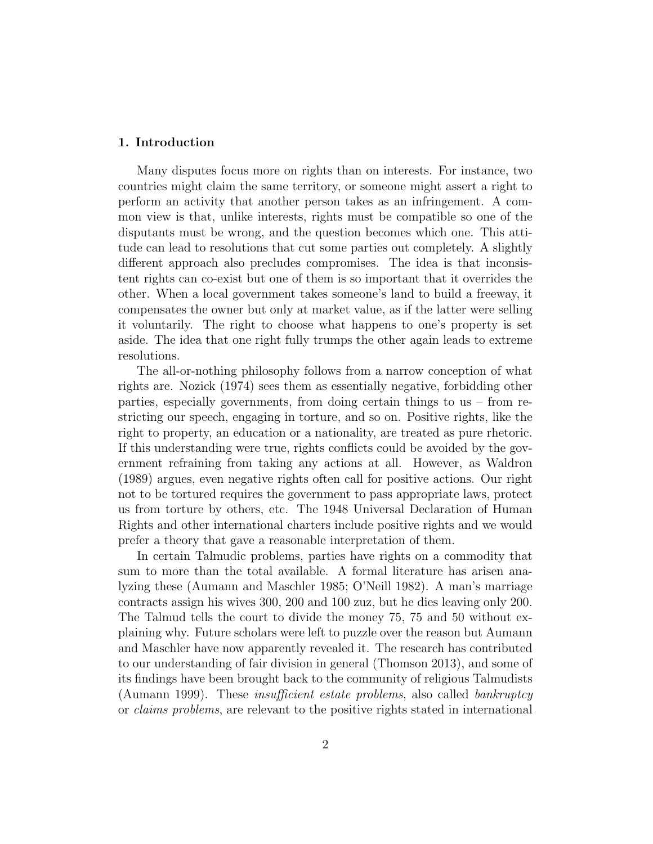#### 1. Introduction

Many disputes focus more on rights than on interests. For instance, two countries might claim the same territory, or someone might assert a right to perform an activity that another person takes as an infringement. A common view is that, unlike interests, rights must be compatible so one of the disputants must be wrong, and the question becomes which one. This attitude can lead to resolutions that cut some parties out completely. A slightly different approach also precludes compromises. The idea is that inconsistent rights can co-exist but one of them is so important that it overrides the other. When a local government takes someone's land to build a freeway, it compensates the owner but only at market value, as if the latter were selling it voluntarily. The right to choose what happens to one's property is set aside. The idea that one right fully trumps the other again leads to extreme resolutions.

The all-or-nothing philosophy follows from a narrow conception of what rights are. Nozick (1974) sees them as essentially negative, forbidding other parties, especially governments, from doing certain things to us – from restricting our speech, engaging in torture, and so on. Positive rights, like the right to property, an education or a nationality, are treated as pure rhetoric. If this understanding were true, rights conflicts could be avoided by the government refraining from taking any actions at all. However, as Waldron (1989) argues, even negative rights often call for positive actions. Our right not to be tortured requires the government to pass appropriate laws, protect us from torture by others, etc. The 1948 Universal Declaration of Human Rights and other international charters include positive rights and we would prefer a theory that gave a reasonable interpretation of them.

In certain Talmudic problems, parties have rights on a commodity that sum to more than the total available. A formal literature has arisen analyzing these (Aumann and Maschler 1985; O'Neill 1982). A man's marriage contracts assign his wives 300, 200 and 100 zuz, but he dies leaving only 200. The Talmud tells the court to divide the money 75, 75 and 50 without explaining why. Future scholars were left to puzzle over the reason but Aumann and Maschler have now apparently revealed it. The research has contributed to our understanding of fair division in general (Thomson 2013), and some of its findings have been brought back to the community of religious Talmudists (Aumann 1999). These *insufficient estate problems*, also called *bankruptcy* or claims problems, are relevant to the positive rights stated in international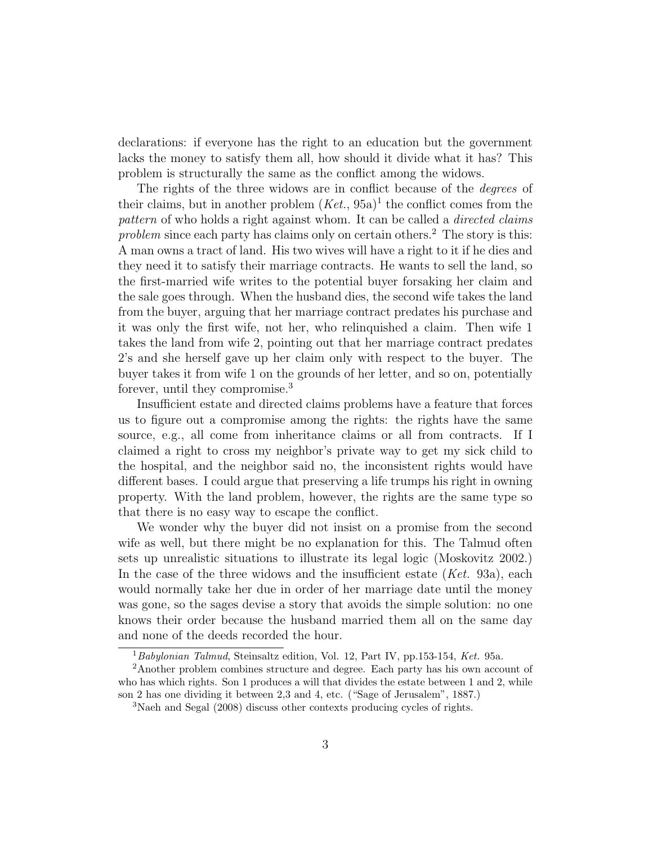declarations: if everyone has the right to an education but the government lacks the money to satisfy them all, how should it divide what it has? This problem is structurally the same as the conflict among the widows.

The rights of the three widows are in conflict because of the *degrees* of their claims, but in another problem  $(Ket., 95a)^1$  the conflict comes from the pattern of who holds a right against whom. It can be called a *directed claims* problem since each party has claims only on certain others.<sup>2</sup> The story is this: A man owns a tract of land. His two wives will have a right to it if he dies and they need it to satisfy their marriage contracts. He wants to sell the land, so the first-married wife writes to the potential buyer forsaking her claim and the sale goes through. When the husband dies, the second wife takes the land from the buyer, arguing that her marriage contract predates his purchase and it was only the first wife, not her, who relinquished a claim. Then wife 1 takes the land from wife 2, pointing out that her marriage contract predates 2's and she herself gave up her claim only with respect to the buyer. The buyer takes it from wife 1 on the grounds of her letter, and so on, potentially forever, until they compromise.<sup>3</sup>

Insufficient estate and directed claims problems have a feature that forces us to figure out a compromise among the rights: the rights have the same source, e.g., all come from inheritance claims or all from contracts. If I claimed a right to cross my neighbor's private way to get my sick child to the hospital, and the neighbor said no, the inconsistent rights would have different bases. I could argue that preserving a life trumps his right in owning property. With the land problem, however, the rights are the same type so that there is no easy way to escape the conflict.

We wonder why the buyer did not insist on a promise from the second wife as well, but there might be no explanation for this. The Talmud often sets up unrealistic situations to illustrate its legal logic (Moskovitz 2002.) In the case of the three widows and the insufficient estate  $(Ket. 93a)$ , each would normally take her due in order of her marriage date until the money was gone, so the sages devise a story that avoids the simple solution: no one knows their order because the husband married them all on the same day and none of the deeds recorded the hour.

<sup>&</sup>lt;sup>1</sup> Babylonian Talmud, Steinsaltz edition, Vol. 12, Part IV, pp.153-154, Ket. 95a.

<sup>2</sup>Another problem combines structure and degree. Each party has his own account of who has which rights. Son 1 produces a will that divides the estate between 1 and 2, while son 2 has one dividing it between 2,3 and 4, etc. ("Sage of Jerusalem", 1887.)

<sup>3</sup>Naeh and Segal (2008) discuss other contexts producing cycles of rights.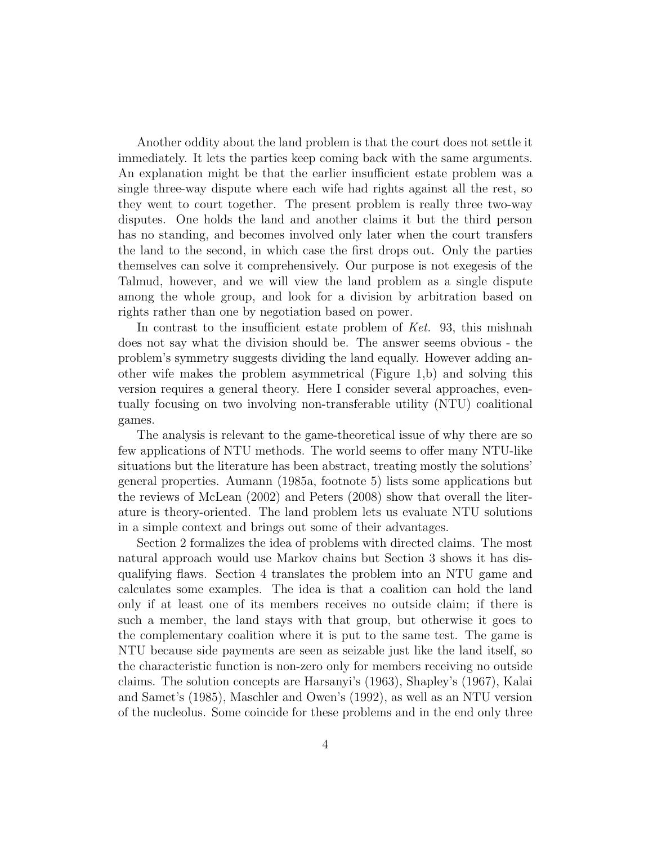Another oddity about the land problem is that the court does not settle it immediately. It lets the parties keep coming back with the same arguments. An explanation might be that the earlier insufficient estate problem was a single three-way dispute where each wife had rights against all the rest, so they went to court together. The present problem is really three two-way disputes. One holds the land and another claims it but the third person has no standing, and becomes involved only later when the court transfers the land to the second, in which case the first drops out. Only the parties themselves can solve it comprehensively. Our purpose is not exegesis of the Talmud, however, and we will view the land problem as a single dispute among the whole group, and look for a division by arbitration based on rights rather than one by negotiation based on power.

In contrast to the insufficient estate problem of Ket. 93, this mishnah does not say what the division should be. The answer seems obvious - the problem's symmetry suggests dividing the land equally. However adding another wife makes the problem asymmetrical (Figure 1,b) and solving this version requires a general theory. Here I consider several approaches, eventually focusing on two involving non-transferable utility (NTU) coalitional games.

The analysis is relevant to the game-theoretical issue of why there are so few applications of NTU methods. The world seems to offer many NTU-like situations but the literature has been abstract, treating mostly the solutions' general properties. Aumann (1985a, footnote 5) lists some applications but the reviews of McLean (2002) and Peters (2008) show that overall the literature is theory-oriented. The land problem lets us evaluate NTU solutions in a simple context and brings out some of their advantages.

Section 2 formalizes the idea of problems with directed claims. The most natural approach would use Markov chains but Section 3 shows it has disqualifying flaws. Section 4 translates the problem into an NTU game and calculates some examples. The idea is that a coalition can hold the land only if at least one of its members receives no outside claim; if there is such a member, the land stays with that group, but otherwise it goes to the complementary coalition where it is put to the same test. The game is NTU because side payments are seen as seizable just like the land itself, so the characteristic function is non-zero only for members receiving no outside claims. The solution concepts are Harsanyi's (1963), Shapley's (1967), Kalai and Samet's (1985), Maschler and Owen's (1992), as well as an NTU version of the nucleolus. Some coincide for these problems and in the end only three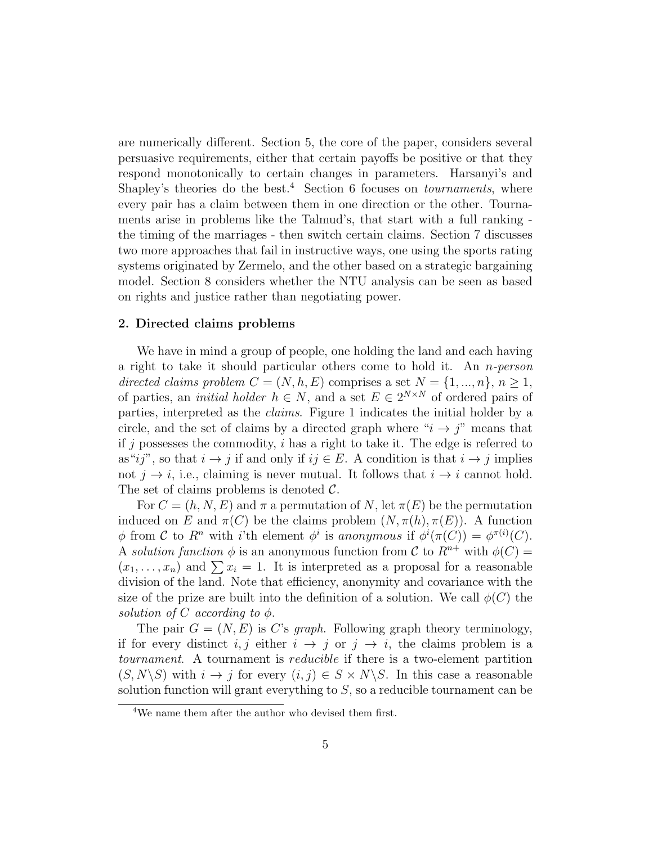are numerically different. Section 5, the core of the paper, considers several persuasive requirements, either that certain payoffs be positive or that they respond monotonically to certain changes in parameters. Harsanyi's and Shapley's theories do the best.<sup>4</sup> Section 6 focuses on *tournaments*, where every pair has a claim between them in one direction or the other. Tournaments arise in problems like the Talmud's, that start with a full ranking the timing of the marriages - then switch certain claims. Section 7 discusses two more approaches that fail in instructive ways, one using the sports rating systems originated by Zermelo, and the other based on a strategic bargaining model. Section 8 considers whether the NTU analysis can be seen as based on rights and justice rather than negotiating power.

#### 2. Directed claims problems

We have in mind a group of people, one holding the land and each having a right to take it should particular others come to hold it. An n-person directed claims problem  $C = (N, h, E)$  comprises a set  $N = \{1, ..., n\}, n \ge 1$ , of parties, an *initial holder*  $h \in N$ , and a set  $E \in 2^{N \times N}$  of ordered pairs of parties, interpreted as the claims. Figure 1 indicates the initial holder by a circle, and the set of claims by a directed graph where " $i \rightarrow j$ " means that if j possesses the commodity,  $i$  has a right to take it. The edge is referred to as"ij", so that  $i \to j$  if and only if  $ij \in E$ . A condition is that  $i \to j$  implies not  $j \rightarrow i$ , i.e., claiming is never mutual. It follows that  $i \rightarrow i$  cannot hold. The set of claims problems is denoted  $\mathcal{C}$ .

For  $C = (h, N, E)$  and  $\pi$  a permutation of N, let  $\pi(E)$  be the permutation induced on E and  $\pi(C)$  be the claims problem  $(N, \pi(h), \pi(E))$ . A function  $\phi$  from C to R<sup>n</sup> with i'th element  $\phi^i$  is anonymous if  $\phi^i(\pi(C)) = \phi^{\pi(i)}(C)$ . A solution function  $\phi$  is an anonymous function from C to  $R^{n+}$  with  $\phi(C)$  =  $(x_1, \ldots, x_n)$  and  $\sum x_i = 1$ . It is interpreted as a proposal for a reasonable division of the land. Note that efficiency, anonymity and covariance with the size of the prize are built into the definition of a solution. We call  $\phi(C)$  the solution of C according to  $\phi$ .

The pair  $G = (N, E)$  is C's *graph*. Following graph theory terminology, if for every distinct  $i, j$  either  $i \rightarrow j$  or  $j \rightarrow i$ , the claims problem is a tournament. A tournament is reducible if there is a two-element partition  $(S, N\backslash S)$  with  $i \to j$  for every  $(i, j) \in S \times N\backslash S$ . In this case a reasonable solution function will grant everything to  $S$ , so a reducible tournament can be

<sup>4</sup>We name them after the author who devised them first.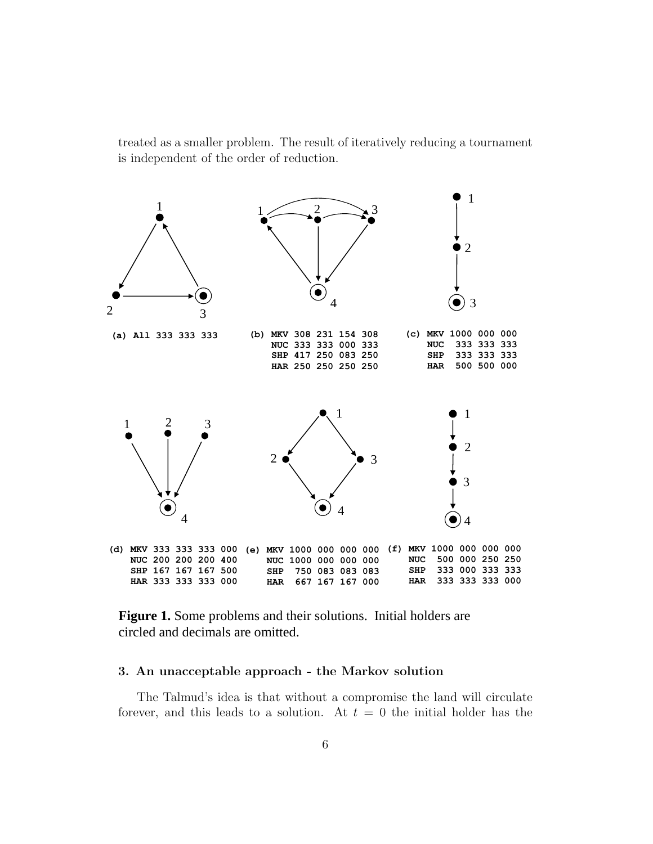treated as a smaller problem. The result of iteratively reducing a tournament is independent of the order of reduction.



**Figure 1.** Some problems and their solutions. Initial holders are circled and decimals are omitted.

#### 3. An unacceptable approach - the Markov solution

The Talmud's idea is that without a compromise the land will circulate forever, and this leads to a solution. At  $t = 0$  the initial holder has the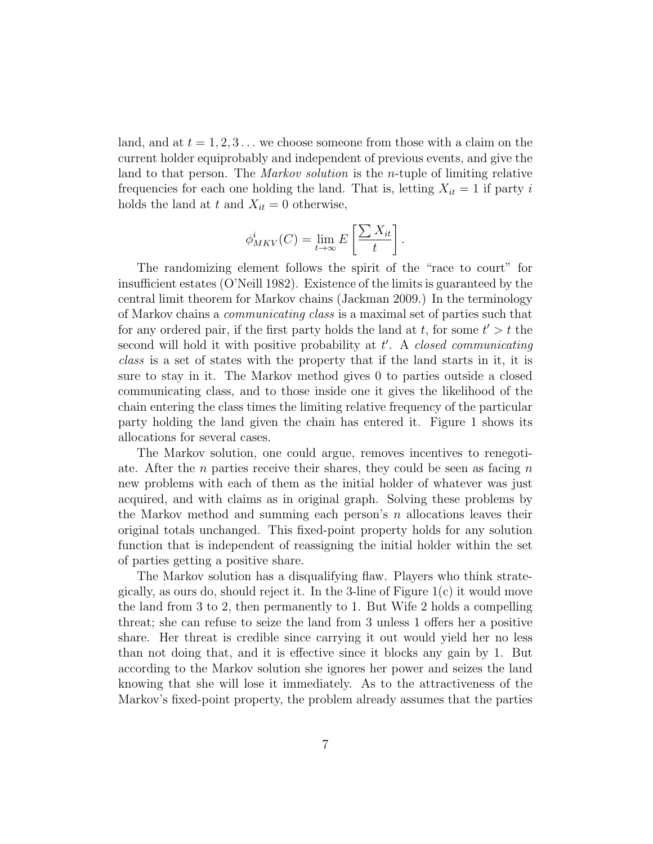land, and at  $t = 1, 2, 3...$  we choose someone from those with a claim on the current holder equiprobably and independent of previous events, and give the land to that person. The *Markov solution* is the *n*-tuple of limiting relative frequencies for each one holding the land. That is, letting  $X_{it} = 1$  if party i holds the land at t and  $X_{it} = 0$  otherwise,

$$
\phi_{MKV}^i(C) = \lim_{t \to \infty} E\left[\frac{\sum X_{it}}{t}\right]
$$

.

The randomizing element follows the spirit of the "race to court" for insufficient estates (O'Neill 1982). Existence of the limits is guaranteed by the central limit theorem for Markov chains (Jackman 2009.) In the terminology of Markov chains a communicating class is a maximal set of parties such that for any ordered pair, if the first party holds the land at  $t$ , for some  $t' > t$  the second will hold it with positive probability at  $t'$ . A *closed communicating* class is a set of states with the property that if the land starts in it, it is sure to stay in it. The Markov method gives 0 to parties outside a closed communicating class, and to those inside one it gives the likelihood of the chain entering the class times the limiting relative frequency of the particular party holding the land given the chain has entered it. Figure 1 shows its allocations for several cases.

The Markov solution, one could argue, removes incentives to renegotiate. After the *n* parties receive their shares, they could be seen as facing *n* new problems with each of them as the initial holder of whatever was just acquired, and with claims as in original graph. Solving these problems by the Markov method and summing each person's  $n$  allocations leaves their original totals unchanged. This fixed-point property holds for any solution function that is independent of reassigning the initial holder within the set of parties getting a positive share.

The Markov solution has a disqualifying flaw. Players who think strategically, as ours do, should reject it. In the 3-line of Figure 1(c) it would move the land from 3 to 2, then permanently to 1. But Wife 2 holds a compelling threat; she can refuse to seize the land from 3 unless 1 offers her a positive share. Her threat is credible since carrying it out would yield her no less than not doing that, and it is effective since it blocks any gain by 1. But according to the Markov solution she ignores her power and seizes the land knowing that she will lose it immediately. As to the attractiveness of the Markov's fixed-point property, the problem already assumes that the parties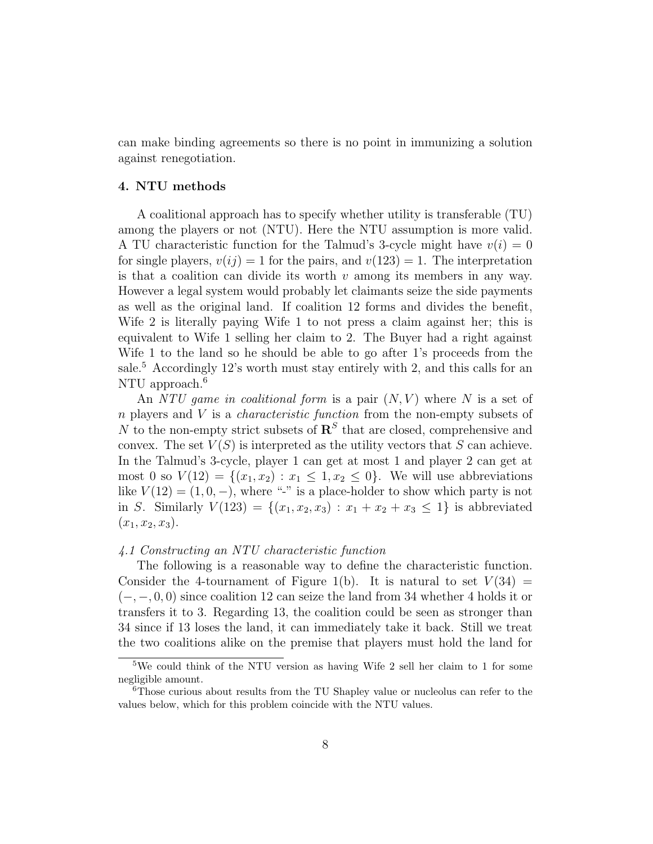can make binding agreements so there is no point in immunizing a solution against renegotiation.

#### 4. NTU methods

A coalitional approach has to specify whether utility is transferable (TU) among the players or not (NTU). Here the NTU assumption is more valid. A TU characteristic function for the Talmud's 3-cycle might have  $v(i) = 0$ for single players,  $v(i) = 1$  for the pairs, and  $v(123) = 1$ . The interpretation is that a coalition can divide its worth  $v$  among its members in any way. However a legal system would probably let claimants seize the side payments as well as the original land. If coalition 12 forms and divides the benefit, Wife 2 is literally paying Wife 1 to not press a claim against her; this is equivalent to Wife 1 selling her claim to 2. The Buyer had a right against Wife 1 to the land so he should be able to go after 1's proceeds from the sale.<sup>5</sup> Accordingly 12's worth must stay entirely with 2, and this calls for an NTU approach.<sup>6</sup>

An NTU game in coalitional form is a pair  $(N, V)$  where N is a set of n players and V is a *characteristic function* from the non-empty subsets of N to the non-empty strict subsets of  $\mathbb{R}^S$  that are closed, comprehensive and convex. The set  $V(S)$  is interpreted as the utility vectors that S can achieve. In the Talmud's 3-cycle, player 1 can get at most 1 and player 2 can get at most 0 so  $V(12) = \{(x_1, x_2) : x_1 \leq 1, x_2 \leq 0\}$ . We will use abbreviations like  $V(12) = (1, 0, -)$ , where "-" is a place-holder to show which party is not in S. Similarly  $V(123) = \{(x_1, x_2, x_3) : x_1 + x_2 + x_3 \leq 1\}$  is abbreviated  $(x_1, x_2, x_3).$ 

#### 4.1 Constructing an NTU characteristic function

The following is a reasonable way to define the characteristic function. Consider the 4-tournament of Figure 1(b). It is natural to set  $V(34) =$  $(-, -, 0, 0)$  since coalition 12 can seize the land from 34 whether 4 holds it or transfers it to 3. Regarding 13, the coalition could be seen as stronger than 34 since if 13 loses the land, it can immediately take it back. Still we treat the two coalitions alike on the premise that players must hold the land for

<sup>5</sup>We could think of the NTU version as having Wife 2 sell her claim to 1 for some negligible amount.

<sup>6</sup>Those curious about results from the TU Shapley value or nucleolus can refer to the values below, which for this problem coincide with the NTU values.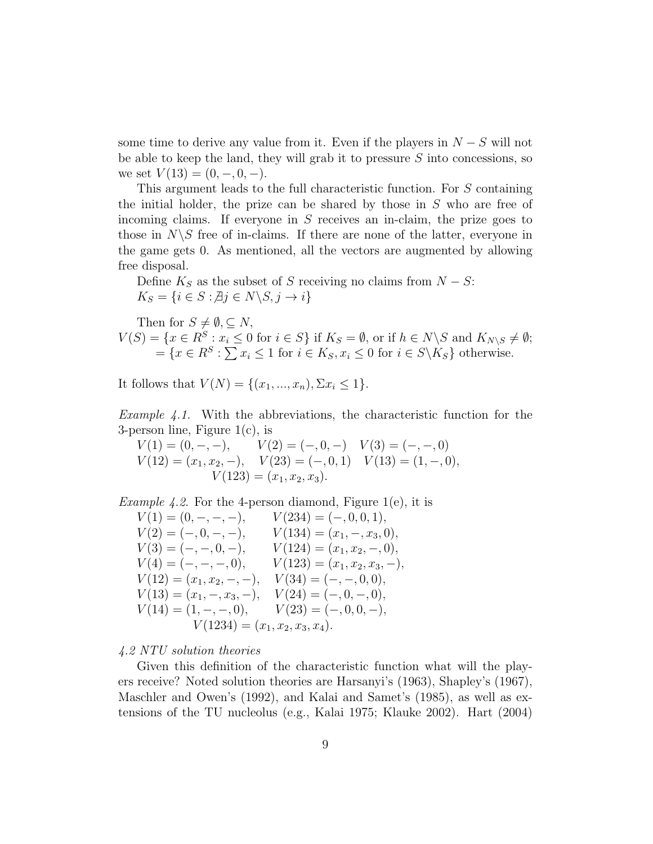some time to derive any value from it. Even if the players in  $N-S$  will not be able to keep the land, they will grab it to pressure  $S$  into concessions, so we set  $V(13) = (0, -, 0, -).$ 

This argument leads to the full characteristic function. For S containing the initial holder, the prize can be shared by those in  $S$  who are free of incoming claims. If everyone in  $S$  receives an in-claim, the prize goes to those in  $N\backslash S$  free of in-claims. If there are none of the latter, everyone in the game gets 0. As mentioned, all the vectors are augmented by allowing free disposal.

Define  $K_S$  as the subset of S receiving no claims from  $N-S$ :  $K_S = \{i \in S : \nexists j \in N \setminus S, j \to i\}$ 

Then for  $S \neq \emptyset$ ,  $\subset N$ ,  $V(S) = \{x \in R^S : x_i \leq 0 \text{ for } i \in S\}$  if  $K_S = \emptyset$ , or if  $h \in N \backslash S$  and  $K_{N \backslash S} \neq \emptyset$ ;  $=\{x \in R^S : \sum x_i \leq 1 \text{ for } i \in K_S, x_i \leq 0 \text{ for } i \in S \backslash K_S \} \text{ otherwise.}$ 

It follows that  $V(N) = \{(x_1, ..., x_n), \Sigma x_i \leq 1\}.$ 

Example 4.1. With the abbreviations, the characteristic function for the 3-person line, Figure 1(c), is

$$
V(1) = (0, -, -), \t V(2) = (-, 0, -) \t V(3) = (-, -, 0) \nV(12) = (x1, x2, -), \t V(23) = (-, 0, 1) \t V(13) = (1, -, 0), \nV(123) = (x1, x2, x3).
$$

*Example 4.2.* For the 4-person diamond, Figure 1(e), it is

 $V(1) = (0, -, -, -), \qquad V(234) = (-, 0, 0, 1),$  $V(2) = (-, 0, -, -), \qquad V(134) = (x_1, -, x_3, 0),$  $V(3) = (-,-,0,-), \qquad V(124) = (x_1, x_2, -, 0),$  $V(4) = (-,-,-,-,0), \qquad V(123) = (x_1, x_2, x_3, -),$  $V(12) = (x_1, x_2, -, -), \quad V(34) = (-, -, 0, 0),$  $V(13) = (x_1, -, x_3, -), \quad V(24) = (-, 0, -, 0),$  $V(14) = (1, -, -, 0), \qquad V(23) = (-, 0, 0, -),$  $V(1234) = (x_1, x_2, x_3, x_4).$ 

#### 4.2 NTU solution theories

Given this definition of the characteristic function what will the players receive? Noted solution theories are Harsanyi's (1963), Shapley's (1967), Maschler and Owen's (1992), and Kalai and Samet's (1985), as well as extensions of the TU nucleolus (e.g., Kalai 1975; Klauke 2002). Hart (2004)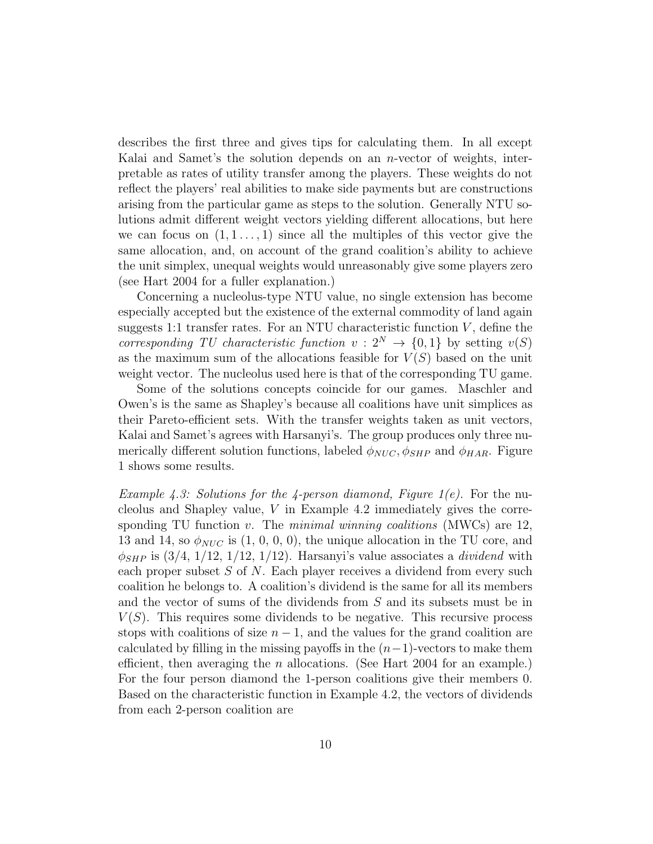describes the first three and gives tips for calculating them. In all except Kalai and Samet's the solution depends on an n-vector of weights, interpretable as rates of utility transfer among the players. These weights do not reflect the players' real abilities to make side payments but are constructions arising from the particular game as steps to the solution. Generally NTU solutions admit different weight vectors yielding different allocations, but here we can focus on  $(1, 1, \ldots, 1)$  since all the multiples of this vector give the same allocation, and, on account of the grand coalition's ability to achieve the unit simplex, unequal weights would unreasonably give some players zero (see Hart 2004 for a fuller explanation.)

Concerning a nucleolus-type NTU value, no single extension has become especially accepted but the existence of the external commodity of land again suggests 1:1 transfer rates. For an NTU characteristic function  $V$ , define the corresponding TU characteristic function  $v: 2^N \rightarrow \{0, 1\}$  by setting  $v(S)$ as the maximum sum of the allocations feasible for  $V(S)$  based on the unit weight vector. The nucleolus used here is that of the corresponding TU game.

Some of the solutions concepts coincide for our games. Maschler and Owen's is the same as Shapley's because all coalitions have unit simplices as their Pareto-efficient sets. With the transfer weights taken as unit vectors, Kalai and Samet's agrees with Harsanyi's. The group produces only three numerically different solution functions, labeled  $\phi_{NUC}$ ,  $\phi_{SHP}$  and  $\phi_{HAR}$ . Figure 1 shows some results.

Example 4.3: Solutions for the 4-person diamond, Figure 1(e). For the nucleolus and Shapley value,  $V$  in Example 4.2 immediately gives the corresponding TU function v. The *minimal winning coalitions* (MWCs) are  $12$ , 13 and 14, so  $\phi_{NUC}$  is (1, 0, 0, 0), the unique allocation in the TU core, and  $\phi_{SHP}$  is (3/4, 1/12, 1/12, 1/12). Harsanyi's value associates a *dividend* with each proper subset  $S$  of  $N$ . Each player receives a dividend from every such coalition he belongs to. A coalition's dividend is the same for all its members and the vector of sums of the dividends from S and its subsets must be in  $V(S)$ . This requires some dividends to be negative. This recursive process stops with coalitions of size  $n - 1$ , and the values for the grand coalition are calculated by filling in the missing payoffs in the  $(n-1)$ -vectors to make them efficient, then averaging the *n* allocations. (See Hart  $2004$  for an example.) For the four person diamond the 1-person coalitions give their members 0. Based on the characteristic function in Example 4.2, the vectors of dividends from each 2-person coalition are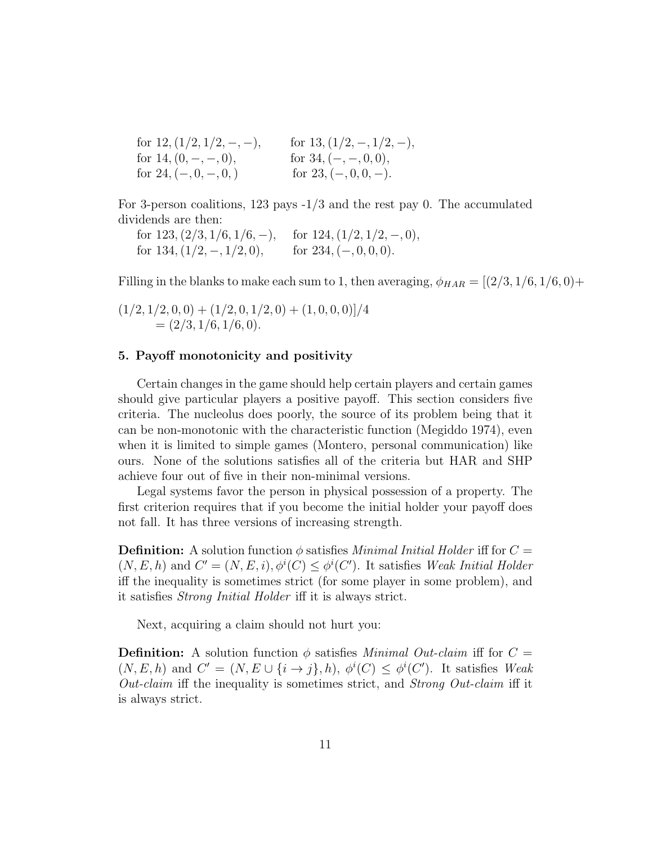| for $12$ , $\left(\frac{1}{2}, \frac{1}{2}, -, -\right)$ , | for $13, (1/2, -1/2, -),$ |
|------------------------------------------------------------|---------------------------|
| for $14, (0, -, -, 0)$ ,                                   | for $34, (-,-,0,0),$      |
| for $24, (-, 0, -, 0, )$                                   | for $23, (-,0,0,-)$ .     |

For 3-person coalitions, 123 pays -1/3 and the rest pay 0. The accumulated dividends are then:

for  $123, (2/3, 1/6, 1/6, -)$ , for  $124, (1/2, 1/2, -, 0)$ , for  $134, (1/2, -, 1/2, 0)$ , for  $234, (-, 0, 0, 0)$ .

Filling in the blanks to make each sum to 1, then averaging,  $\phi_{HAR} = [(2/3, 1/6, 1/6, 0) +$ 

 $(1/2, 1/2, 0, 0) + (1/2, 0, 1/2, 0) + (1, 0, 0, 0)/4$  $=(2/3, 1/6, 1/6, 0).$ 

#### 5. Payoff monotonicity and positivity

Certain changes in the game should help certain players and certain games should give particular players a positive payoff. This section considers five criteria. The nucleolus does poorly, the source of its problem being that it can be non-monotonic with the characteristic function (Megiddo 1974), even when it is limited to simple games (Montero, personal communication) like ours. None of the solutions satisfies all of the criteria but HAR and SHP achieve four out of five in their non-minimal versions.

Legal systems favor the person in physical possession of a property. The first criterion requires that if you become the initial holder your payoff does not fall. It has three versions of increasing strength.

**Definition:** A solution function  $\phi$  satisfies *Minimal Initial Holder* iff for  $C =$  $(N, E, h)$  and  $C' = (N, E, i), \phi^{i}(C) \leq \phi^{i}(C')$ . It satisfies Weak Initial Holder iff the inequality is sometimes strict (for some player in some problem), and it satisfies Strong Initial Holder iff it is always strict.

Next, acquiring a claim should not hurt you:

**Definition:** A solution function  $\phi$  satisfies *Minimal Out-claim* iff for  $C =$  $(N, E, h)$  and  $C' = (N, E \cup \{i \to j\}, h), \phi^{i}(C) \leq \phi^{i}(C')$ . It satisfies Weak Out-claim iff the inequality is sometimes strict, and Strong Out-claim iff it is always strict.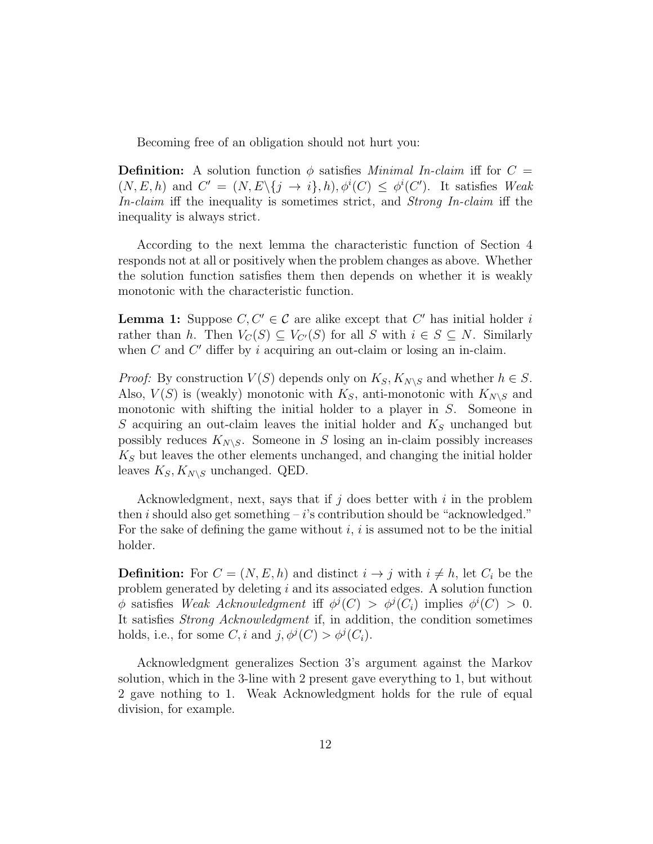Becoming free of an obligation should not hurt you:

**Definition:** A solution function  $\phi$  satisfies *Minimal In-claim* iff for  $C =$  $(N, E, h)$  and  $C' = (N, E\setminus\{j \rightarrow i\}, h), \phi^{i}(C) \leq \phi^{i}(C')$ . It satisfies Weak In-claim iff the inequality is sometimes strict, and Strong In-claim iff the inequality is always strict.

According to the next lemma the characteristic function of Section 4 responds not at all or positively when the problem changes as above. Whether the solution function satisfies them then depends on whether it is weakly monotonic with the characteristic function.

**Lemma 1:** Suppose  $C, C' \in \mathcal{C}$  are alike except that C' has initial holder i rather than h. Then  $V_C(S) \subseteq V_{C'}(S)$  for all S with  $i \in S \subseteq N$ . Similarly when  $C$  and  $C'$  differ by i acquiring an out-claim or losing an in-claim.

*Proof:* By construction  $V(S)$  depends only on  $K_S, K_{N\setminus S}$  and whether  $h \in S$ . Also,  $V(S)$  is (weakly) monotonic with  $K_S$ , anti-monotonic with  $K_{N\setminus S}$  and monotonic with shifting the initial holder to a player in S. Someone in S acquiring an out-claim leaves the initial holder and  $K<sub>S</sub>$  unchanged but possibly reduces  $K_{N\setminus S}$ . Someone in S losing an in-claim possibly increases  $K<sub>S</sub>$  but leaves the other elements unchanged, and changing the initial holder leaves  $K_S, K_{N\setminus S}$  unchanged. QED.

Acknowledgment, next, says that if  $j$  does better with  $i$  in the problem then i should also get something  $-i$ 's contribution should be "acknowledged." For the sake of defining the game without  $i, i$  is assumed not to be the initial holder.

**Definition:** For  $C = (N, E, h)$  and distinct  $i \rightarrow j$  with  $i \neq h$ , let  $C_i$  be the problem generated by deleting i and its associated edges. A solution function  $\phi$  satisfies Weak Acknowledgment iff  $\phi^j(C) > \phi^j(C_i)$  implies  $\phi^i(C) > 0$ . It satisfies Strong Acknowledgment if, in addition, the condition sometimes holds, i.e., for some  $C$ , i and  $j$ ,  $\phi^{j}(C) > \phi^{j}(C_{i})$ .

Acknowledgment generalizes Section 3's argument against the Markov solution, which in the 3-line with 2 present gave everything to 1, but without 2 gave nothing to 1. Weak Acknowledgment holds for the rule of equal division, for example.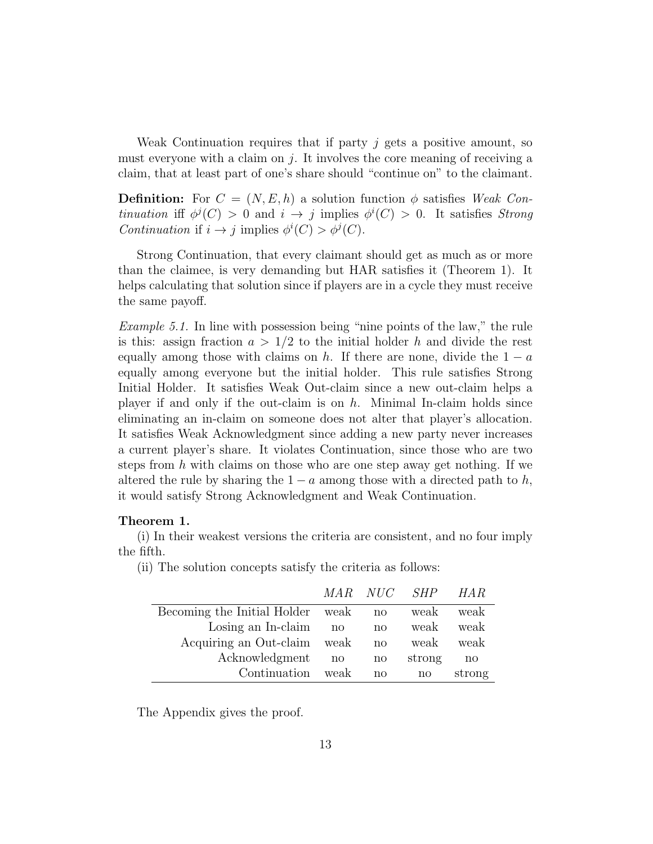Weak Continuation requires that if party  $j$  gets a positive amount, so must everyone with a claim on  $j$ . It involves the core meaning of receiving a claim, that at least part of one's share should "continue on" to the claimant.

**Definition:** For  $C = (N, E, h)$  a solution function  $\phi$  satisfies *Weak Con*tinuation if  $\phi^{j}(C) > 0$  and  $i \to j$  implies  $\phi^{i}(C) > 0$ . It satisfies *Strong* Continuation if  $i \to j$  implies  $\phi^i(C) > \phi^j(C)$ .

Strong Continuation, that every claimant should get as much as or more than the claimee, is very demanding but HAR satisfies it (Theorem 1). It helps calculating that solution since if players are in a cycle they must receive the same payoff.

Example 5.1. In line with possession being "nine points of the law," the rule is this: assign fraction  $a > 1/2$  to the initial holder h and divide the rest equally among those with claims on h. If there are none, divide the  $1 - a$ equally among everyone but the initial holder. This rule satisfies Strong Initial Holder. It satisfies Weak Out-claim since a new out-claim helps a player if and only if the out-claim is on  $h$ . Minimal In-claim holds since eliminating an in-claim on someone does not alter that player's allocation. It satisfies Weak Acknowledgment since adding a new party never increases a current player's share. It violates Continuation, since those who are two steps from h with claims on those who are one step away get nothing. If we altered the rule by sharing the  $1 - a$  among those with a directed path to h, it would satisfy Strong Acknowledgment and Weak Continuation.

#### Theorem 1.

(i) In their weakest versions the criteria are consistent, and no four imply the fifth.

(ii) The solution concepts satisfy the criteria as follows:

|                                  |      | MAR NUC SHP  |                        | HA R         |
|----------------------------------|------|--------------|------------------------|--------------|
| Becoming the Initial Holder weak |      | $\mathbf{n}$ | weak                   | weak         |
| Losing an In-claim               | no   | $\mathbf{n}$ | weak                   | weak         |
| Acquiring an Out-claim weak      |      | $\mathbf{n}$ | weak                   | weak         |
| Acknowledgment                   | no   | $\mathbf{n}$ | strong                 | $\mathbf{n}$ |
| Continuation                     | weak | no           | $\mathbf{n}\mathbf{o}$ | strong       |

The Appendix gives the proof.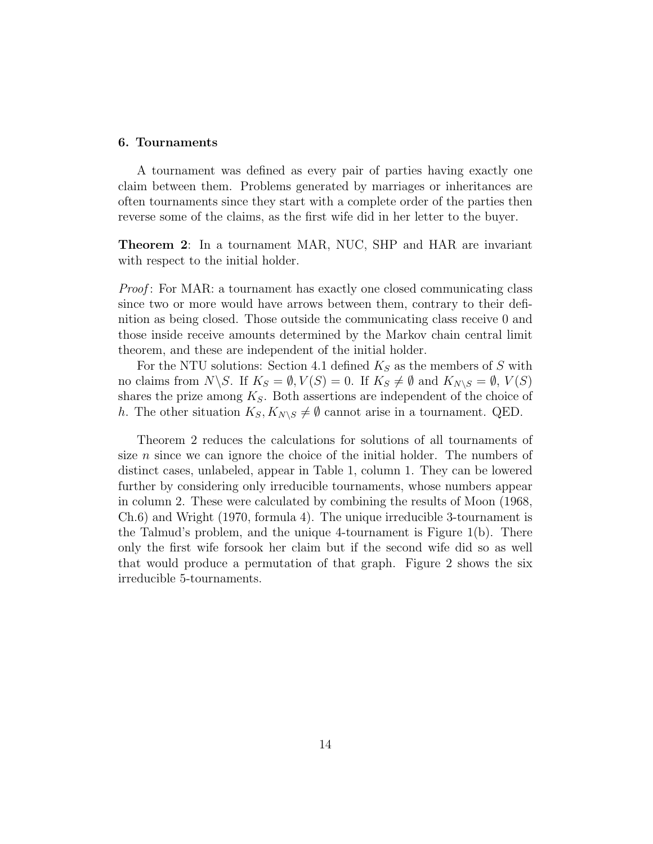#### 6. Tournaments

A tournament was defined as every pair of parties having exactly one claim between them. Problems generated by marriages or inheritances are often tournaments since they start with a complete order of the parties then reverse some of the claims, as the first wife did in her letter to the buyer.

Theorem 2: In a tournament MAR, NUC, SHP and HAR are invariant with respect to the initial holder.

Proof: For MAR: a tournament has exactly one closed communicating class since two or more would have arrows between them, contrary to their definition as being closed. Those outside the communicating class receive 0 and those inside receive amounts determined by the Markov chain central limit theorem, and these are independent of the initial holder.

For the NTU solutions: Section 4.1 defined  $K_S$  as the members of S with no claims from  $N\backslash S$ . If  $K_S = \emptyset$ ,  $V(S) = 0$ . If  $K_S \neq \emptyset$  and  $K_{N\backslash S} = \emptyset$ ,  $V(S)$ shares the prize among  $K_S$ . Both assertions are independent of the choice of h. The other situation  $K_S, K_{N\setminus S} \neq \emptyset$  cannot arise in a tournament. QED.

Theorem 2 reduces the calculations for solutions of all tournaments of size  $n$  since we can ignore the choice of the initial holder. The numbers of distinct cases, unlabeled, appear in Table 1, column 1. They can be lowered further by considering only irreducible tournaments, whose numbers appear in column 2. These were calculated by combining the results of Moon (1968, Ch.6) and Wright (1970, formula 4). The unique irreducible 3-tournament is the Talmud's problem, and the unique 4-tournament is Figure 1(b). There only the first wife forsook her claim but if the second wife did so as well that would produce a permutation of that graph. Figure 2 shows the six irreducible 5-tournaments.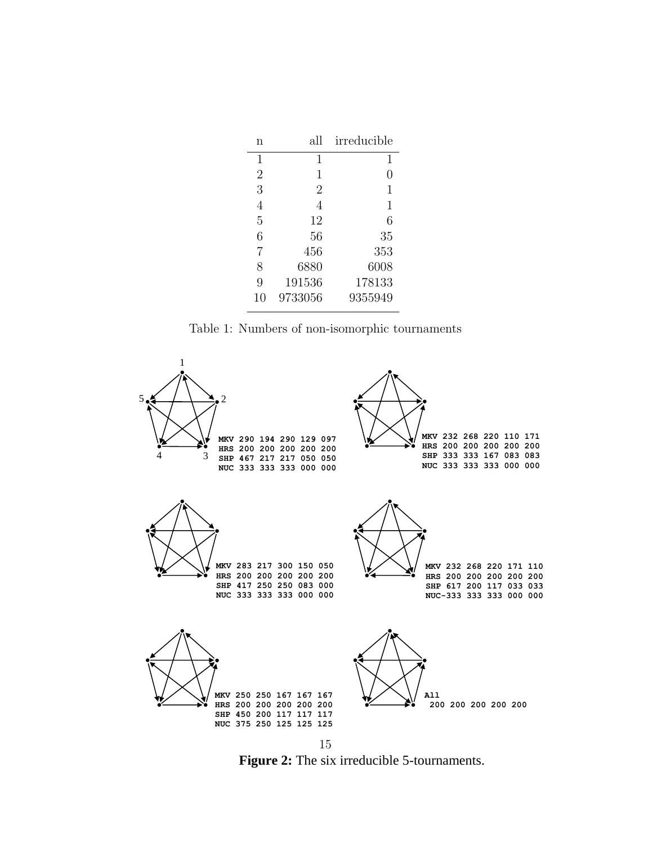| n              | all            | irreducible |
|----------------|----------------|-------------|
| 1              | 1              | 1           |
| $\overline{2}$ | 1              | 0           |
| 3              | $\overline{2}$ | 1           |
| 4              | 4              | 1           |
| 5              | 12             | 6           |
| 6              | 56             | 35          |
| $\overline{7}$ | 456            | 353         |
| 8              | 6880           | 6008        |
| 9              | 191536         | 178133      |
| 10             | 9733056        | 9355949     |
|                |                |             |

Table 1: Numbers of non-isomorphic tournaments



**Figure 2:** The six irreducible 5-tournaments.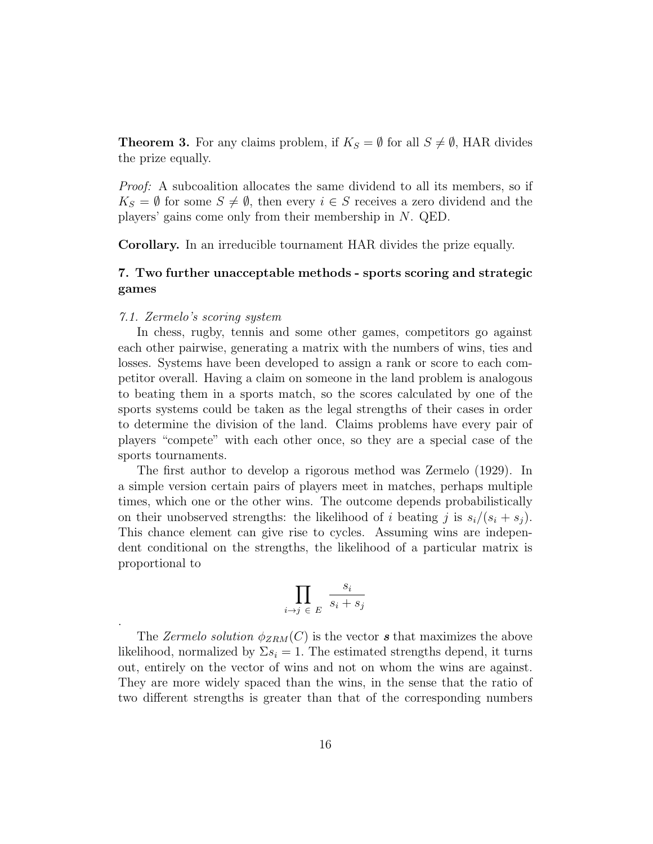**Theorem 3.** For any claims problem, if  $K_S = \emptyset$  for all  $S \neq \emptyset$ , HAR divides the prize equally.

Proof: A subcoalition allocates the same dividend to all its members, so if  $K_S = \emptyset$  for some  $S \neq \emptyset$ , then every  $i \in S$  receives a zero dividend and the players' gains come only from their membership in N. QED.

Corollary. In an irreducible tournament HAR divides the prize equally.

#### 7. Two further unacceptable methods - sports scoring and strategic games

#### 7.1. Zermelo's scoring system

.

In chess, rugby, tennis and some other games, competitors go against each other pairwise, generating a matrix with the numbers of wins, ties and losses. Systems have been developed to assign a rank or score to each competitor overall. Having a claim on someone in the land problem is analogous to beating them in a sports match, so the scores calculated by one of the sports systems could be taken as the legal strengths of their cases in order to determine the division of the land. Claims problems have every pair of players "compete" with each other once, so they are a special case of the sports tournaments.

The first author to develop a rigorous method was Zermelo (1929). In a simple version certain pairs of players meet in matches, perhaps multiple times, which one or the other wins. The outcome depends probabilistically on their unobserved strengths: the likelihood of i beating j is  $s_i/(s_i + s_j)$ . This chance element can give rise to cycles. Assuming wins are independent conditional on the strengths, the likelihood of a particular matrix is proportional to

$$
\prod_{i \to j \in E} \frac{s_i}{s_i + s_j}
$$

The Zermelo solution  $\phi_{ZRM}(C)$  is the vector s that maximizes the above likelihood, normalized by  $\Sigma s_i = 1$ . The estimated strengths depend, it turns out, entirely on the vector of wins and not on whom the wins are against. They are more widely spaced than the wins, in the sense that the ratio of two different strengths is greater than that of the corresponding numbers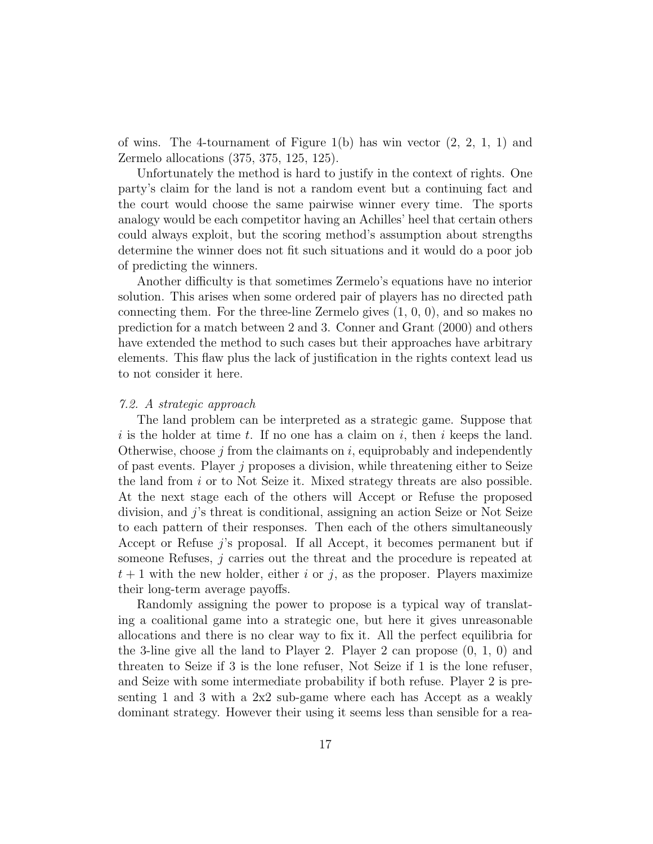of wins. The 4-tournament of Figure  $1(b)$  has win vector  $(2, 2, 1, 1)$  and Zermelo allocations (375, 375, 125, 125).

Unfortunately the method is hard to justify in the context of rights. One party's claim for the land is not a random event but a continuing fact and the court would choose the same pairwise winner every time. The sports analogy would be each competitor having an Achilles' heel that certain others could always exploit, but the scoring method's assumption about strengths determine the winner does not fit such situations and it would do a poor job of predicting the winners.

Another difficulty is that sometimes Zermelo's equations have no interior solution. This arises when some ordered pair of players has no directed path connecting them. For the three-line Zermelo gives (1, 0, 0), and so makes no prediction for a match between 2 and 3. Conner and Grant (2000) and others have extended the method to such cases but their approaches have arbitrary elements. This flaw plus the lack of justification in the rights context lead us to not consider it here.

#### 7.2. A strategic approach

The land problem can be interpreted as a strategic game. Suppose that i is the holder at time t. If no one has a claim on i, then i keeps the land. Otherwise, choose  $j$  from the claimants on  $i$ , equiprobably and independently of past events. Player j proposes a division, while threatening either to Seize the land from i or to Not Seize it. Mixed strategy threats are also possible. At the next stage each of the others will Accept or Refuse the proposed division, and j's threat is conditional, assigning an action Seize or Not Seize to each pattern of their responses. Then each of the others simultaneously Accept or Refuse j's proposal. If all Accept, it becomes permanent but if someone Refuses, j carries out the threat and the procedure is repeated at  $t + 1$  with the new holder, either i or j, as the proposer. Players maximize their long-term average payoffs.

Randomly assigning the power to propose is a typical way of translating a coalitional game into a strategic one, but here it gives unreasonable allocations and there is no clear way to fix it. All the perfect equilibria for the 3-line give all the land to Player 2. Player 2 can propose  $(0, 1, 0)$  and threaten to Seize if 3 is the lone refuser, Not Seize if 1 is the lone refuser, and Seize with some intermediate probability if both refuse. Player 2 is presenting 1 and 3 with a 2x2 sub-game where each has Accept as a weakly dominant strategy. However their using it seems less than sensible for a rea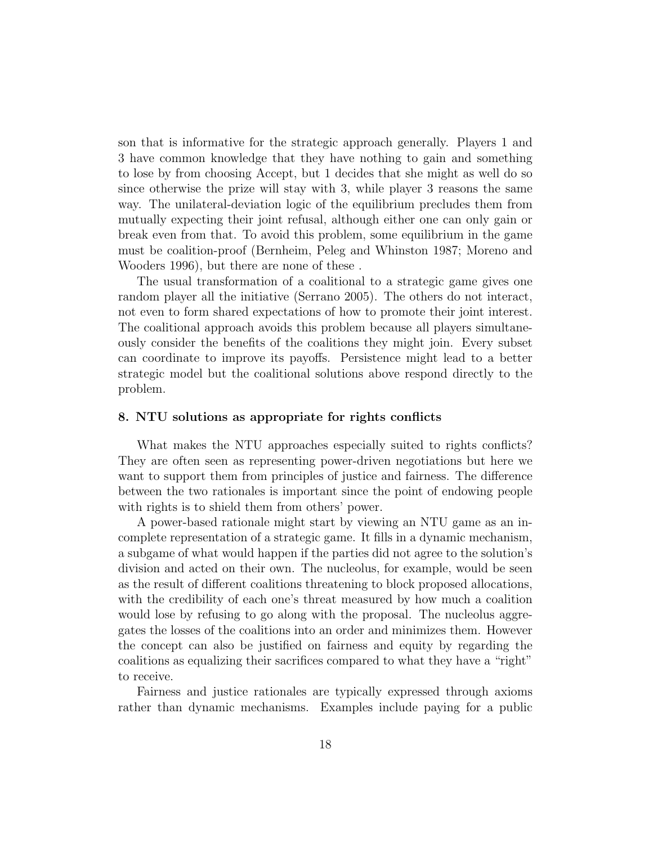son that is informative for the strategic approach generally. Players 1 and 3 have common knowledge that they have nothing to gain and something to lose by from choosing Accept, but 1 decides that she might as well do so since otherwise the prize will stay with 3, while player 3 reasons the same way. The unilateral-deviation logic of the equilibrium precludes them from mutually expecting their joint refusal, although either one can only gain or break even from that. To avoid this problem, some equilibrium in the game must be coalition-proof (Bernheim, Peleg and Whinston 1987; Moreno and Wooders 1996), but there are none of these .

The usual transformation of a coalitional to a strategic game gives one random player all the initiative (Serrano 2005). The others do not interact, not even to form shared expectations of how to promote their joint interest. The coalitional approach avoids this problem because all players simultaneously consider the benefits of the coalitions they might join. Every subset can coordinate to improve its payoffs. Persistence might lead to a better strategic model but the coalitional solutions above respond directly to the problem.

#### 8. NTU solutions as appropriate for rights conflicts

What makes the NTU approaches especially suited to rights conflicts? They are often seen as representing power-driven negotiations but here we want to support them from principles of justice and fairness. The difference between the two rationales is important since the point of endowing people with rights is to shield them from others' power.

A power-based rationale might start by viewing an NTU game as an incomplete representation of a strategic game. It fills in a dynamic mechanism, a subgame of what would happen if the parties did not agree to the solution's division and acted on their own. The nucleolus, for example, would be seen as the result of different coalitions threatening to block proposed allocations, with the credibility of each one's threat measured by how much a coalition would lose by refusing to go along with the proposal. The nucleolus aggregates the losses of the coalitions into an order and minimizes them. However the concept can also be justified on fairness and equity by regarding the coalitions as equalizing their sacrifices compared to what they have a "right" to receive.

Fairness and justice rationales are typically expressed through axioms rather than dynamic mechanisms. Examples include paying for a public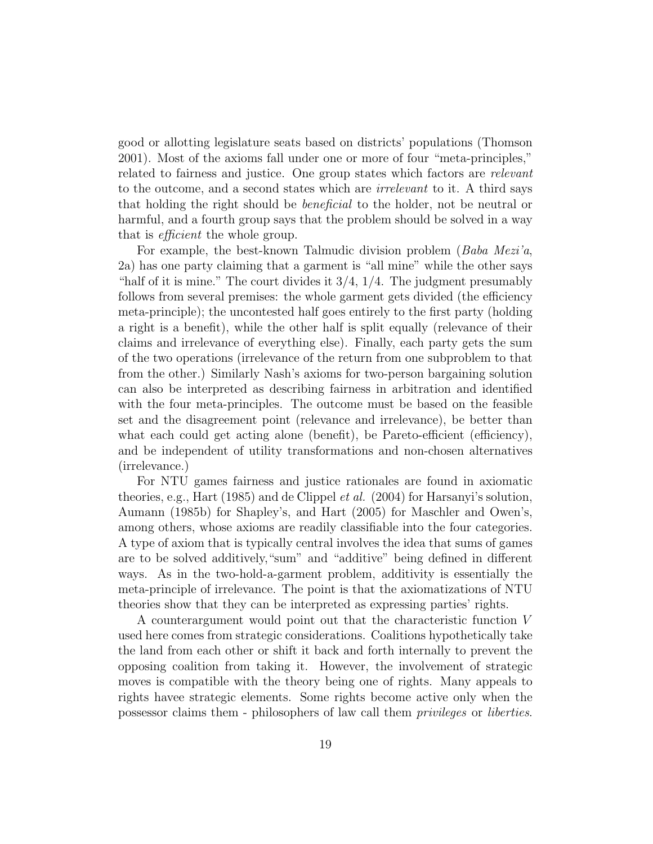good or allotting legislature seats based on districts' populations (Thomson 2001). Most of the axioms fall under one or more of four "meta-principles," related to fairness and justice. One group states which factors are *relevant* to the outcome, and a second states which are irrelevant to it. A third says that holding the right should be beneficial to the holder, not be neutral or harmful, and a fourth group says that the problem should be solved in a way that is efficient the whole group.

For example, the best-known Talmudic division problem (*Baba Mezi'a*, 2a) has one party claiming that a garment is "all mine" while the other says "half of it is mine." The court divides it  $3/4$ ,  $1/4$ . The judgment presumably follows from several premises: the whole garment gets divided (the efficiency meta-principle); the uncontested half goes entirely to the first party (holding a right is a benefit), while the other half is split equally (relevance of their claims and irrelevance of everything else). Finally, each party gets the sum of the two operations (irrelevance of the return from one subproblem to that from the other.) Similarly Nash's axioms for two-person bargaining solution can also be interpreted as describing fairness in arbitration and identified with the four meta-principles. The outcome must be based on the feasible set and the disagreement point (relevance and irrelevance), be better than what each could get acting alone (benefit), be Pareto-efficient (efficiency), and be independent of utility transformations and non-chosen alternatives (irrelevance.)

For NTU games fairness and justice rationales are found in axiomatic theories, e.g., Hart (1985) and de Clippel et al. (2004) for Harsanyi's solution, Aumann (1985b) for Shapley's, and Hart (2005) for Maschler and Owen's, among others, whose axioms are readily classifiable into the four categories. A type of axiom that is typically central involves the idea that sums of games are to be solved additively,"sum" and "additive" being defined in different ways. As in the two-hold-a-garment problem, additivity is essentially the meta-principle of irrelevance. The point is that the axiomatizations of NTU theories show that they can be interpreted as expressing parties' rights.

A counterargument would point out that the characteristic function V used here comes from strategic considerations. Coalitions hypothetically take the land from each other or shift it back and forth internally to prevent the opposing coalition from taking it. However, the involvement of strategic moves is compatible with the theory being one of rights. Many appeals to rights havee strategic elements. Some rights become active only when the possessor claims them - philosophers of law call them privileges or liberties.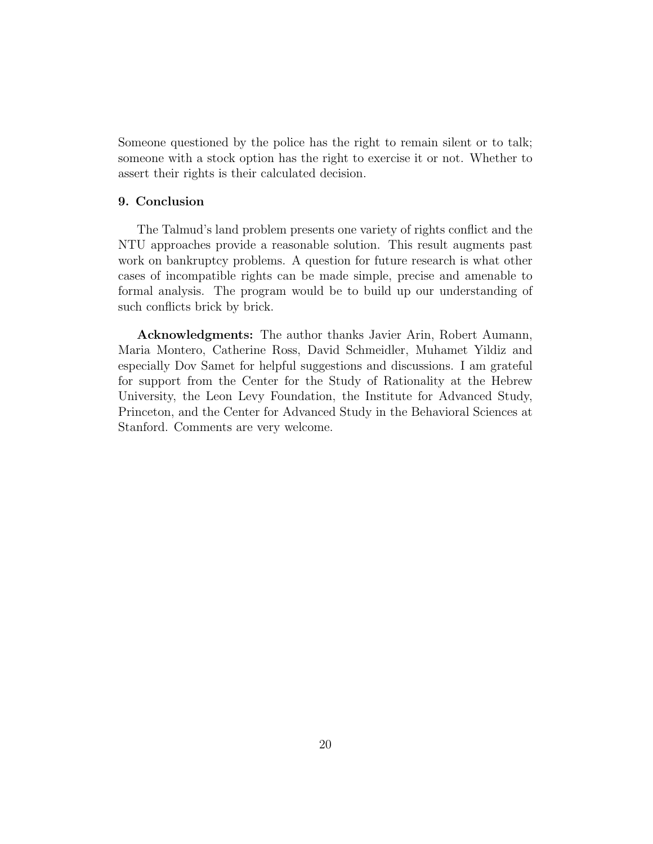Someone questioned by the police has the right to remain silent or to talk; someone with a stock option has the right to exercise it or not. Whether to assert their rights is their calculated decision.

#### 9. Conclusion

The Talmud's land problem presents one variety of rights conflict and the NTU approaches provide a reasonable solution. This result augments past work on bankruptcy problems. A question for future research is what other cases of incompatible rights can be made simple, precise and amenable to formal analysis. The program would be to build up our understanding of such conflicts brick by brick.

Acknowledgments: The author thanks Javier Arin, Robert Aumann, Maria Montero, Catherine Ross, David Schmeidler, Muhamet Yildiz and especially Dov Samet for helpful suggestions and discussions. I am grateful for support from the Center for the Study of Rationality at the Hebrew University, the Leon Levy Foundation, the Institute for Advanced Study, Princeton, and the Center for Advanced Study in the Behavioral Sciences at Stanford. Comments are very welcome.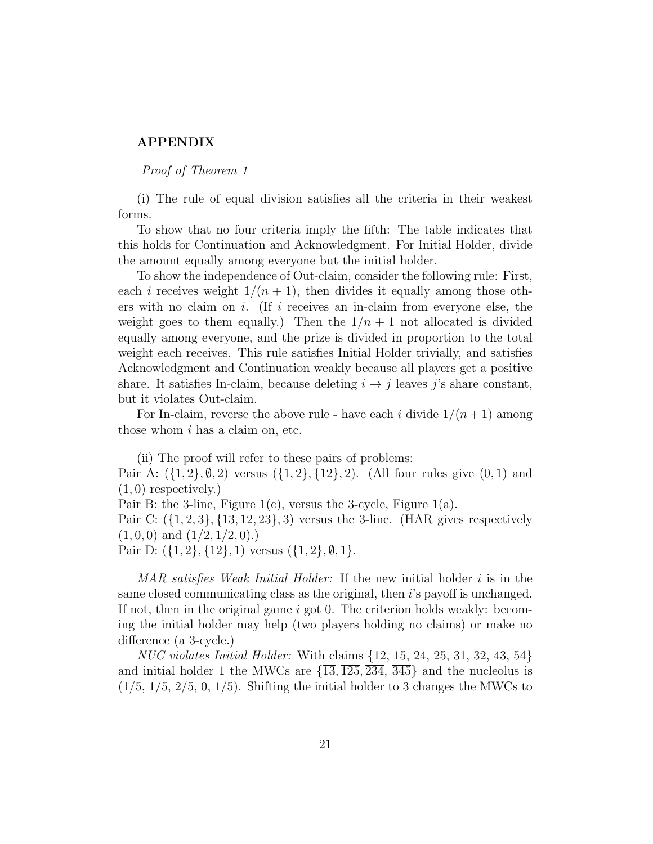#### APPENDIX

Proof of Theorem 1

(i) The rule of equal division satisfies all the criteria in their weakest forms.

To show that no four criteria imply the fifth: The table indicates that this holds for Continuation and Acknowledgment. For Initial Holder, divide the amount equally among everyone but the initial holder.

To show the independence of Out-claim, consider the following rule: First, each i receives weight  $1/(n + 1)$ , then divides it equally among those others with no claim on i. (If i receives an in-claim from everyone else, the weight goes to them equally.) Then the  $1/n + 1$  not allocated is divided equally among everyone, and the prize is divided in proportion to the total weight each receives. This rule satisfies Initial Holder trivially, and satisfies Acknowledgment and Continuation weakly because all players get a positive share. It satisfies In-claim, because deleting  $i \rightarrow j$  leaves j's share constant, but it violates Out-claim.

For In-claim, reverse the above rule - have each i divide  $1/(n+1)$  among those whom  $i$  has a claim on, etc.

(ii) The proof will refer to these pairs of problems: Pair A:  $({1, 2}, \emptyset, 2)$  versus  $({1, 2}, {12}, 2)$ . (All four rules give  $(0, 1)$  and  $(1, 0)$  respectively.)

Pair B: the 3-line, Figure  $1(c)$ , versus the 3-cycle, Figure  $1(a)$ .

Pair C:  $({1, 2, 3}, {13, 12, 23}, 3)$  versus the 3-line. (HAR gives respectively  $(1, 0, 0)$  and  $(1/2, 1/2, 0)$ .

Pair D:  $({1, 2}, {12}, 1)$  versus  $({1, 2}, \emptyset, 1)$ .

MAR satisfies Weak Initial Holder: If the new initial holder  $i$  is in the same closed communicating class as the original, then i's payoff is unchanged. If not, then in the original game  $i$  got 0. The criterion holds weakly: becoming the initial holder may help (two players holding no claims) or make no difference (a 3-cycle.)

NUC violates Initial Holder: With claims {12, 15, 24, 25, 31, 32, 43, 54} and initial holder 1 the MWCs are  $\{\overline{13}, \overline{125}, \overline{234}, \overline{345}\}\$  and the nucleolus is  $(1/5, 1/5, 2/5, 0, 1/5)$ . Shifting the initial holder to 3 changes the MWCs to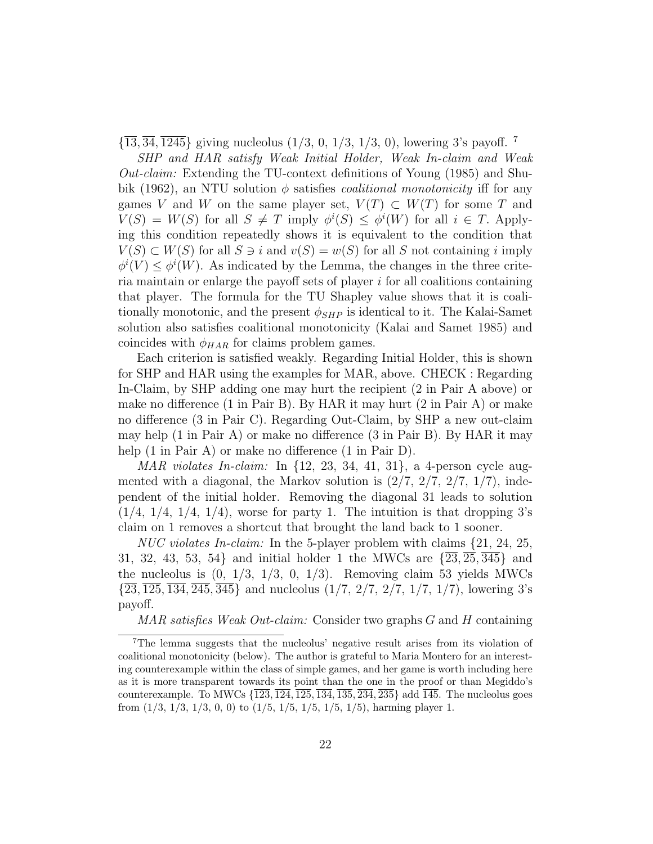$\{\overline{13}, \overline{34}, \overline{1245}\}\$  giving nucleolus  $(1/3, 0, 1/3, 1/3, 0)$ , lowering 3's payoff. <sup>7</sup>

SHP and HAR satisfy Weak Initial Holder, Weak In-claim and Weak  $Out-claim$ : Extending the TU-context definitions of Young (1985) and Shubik (1962), an NTU solution  $\phi$  satisfies *coalitional monotonicity* iff for any games V and W on the same player set,  $V(T) \subset W(T)$  for some T and  $V(S) = W(S)$  for all  $S \neq T$  imply  $\phi^{i}(S) \leq \phi^{i}(W)$  for all  $i \in T$ . Applying this condition repeatedly shows it is equivalent to the condition that  $V(S) \subset W(S)$  for all  $S \ni i$  and  $v(S) = w(S)$  for all S not containing i imply  $\phi^i(V) \leq \phi^i(W)$ . As indicated by the Lemma, the changes in the three criteria maintain or enlarge the payoff sets of player i for all coalitions containing that player. The formula for the TU Shapley value shows that it is coalitionally monotonic, and the present  $\phi_{SHP}$  is identical to it. The Kalai-Samet solution also satisfies coalitional monotonicity (Kalai and Samet 1985) and coincides with  $\phi_{HAR}$  for claims problem games.

Each criterion is satisfied weakly. Regarding Initial Holder, this is shown for SHP and HAR using the examples for MAR, above. CHECK : Regarding In-Claim, by SHP adding one may hurt the recipient (2 in Pair A above) or make no difference (1 in Pair B). By HAR it may hurt (2 in Pair A) or make no difference (3 in Pair C). Regarding Out-Claim, by SHP a new out-claim may help (1 in Pair A) or make no difference (3 in Pair B). By HAR it may help  $(1 \text{ in Pair A})$  or make no difference  $(1 \text{ in Pair D}).$ 

MAR violates In-claim: In  $\{12, 23, 34, 41, 31\}$ , a 4-person cycle augmented with a diagonal, the Markov solution is  $(2/7, 2/7, 2/7, 1/7)$ , independent of the initial holder. Removing the diagonal 31 leads to solution  $(1/4, 1/4, 1/4, 1/4)$ , worse for party 1. The intuition is that dropping 3's claim on 1 removes a shortcut that brought the land back to 1 sooner.

*NUC violates In-claim:* In the 5-player problem with claims  $\{21, 24, 25, \ldots\}$ 31, 32, 43, 53, 54} and initial holder 1 the MWCs are  $\{\overline{23}, \overline{25}, \overline{345}\}\$  and the nucleolus is  $(0, 1/3, 1/3, 0, 1/3)$ . Removing claim 53 yields MWCs  $\{23, 125, 134, 245, 345\}$  and nucleolus  $(1/7, 2/7, 2/7, 1/7, 1/7)$ , lowering 3's payoff.

MAR satisfies Weak Out-claim: Consider two graphs G and H containing

<sup>7</sup>The lemma suggests that the nucleolus' negative result arises from its violation of coalitional monotonicity (below). The author is grateful to Maria Montero for an interesting counterexample within the class of simple games, and her game is worth including here as it is more transparent towards its point than the one in the proof or than Megiddo's counterexample. To MWCs {123, 124, 125, 134, 135, 234, 235} add 145. The nucleolus goes from  $(1/3, 1/3, 1/3, 0, 0)$  to  $(1/5, 1/5, 1/5, 1/5, 1/5)$ , harming player 1.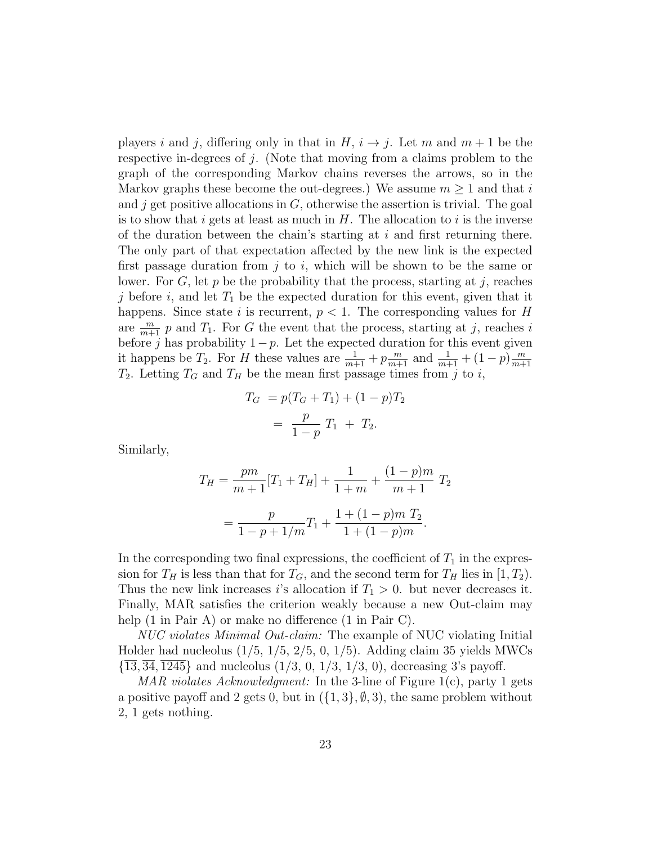players i and j, differing only in that in  $H$ ,  $i \rightarrow j$ . Let m and  $m + 1$  be the respective in-degrees of j. (Note that moving from a claims problem to the graph of the corresponding Markov chains reverses the arrows, so in the Markov graphs these become the out-degrees.) We assume  $m \geq 1$  and that i and j get positive allocations in  $G$ , otherwise the assertion is trivial. The goal is to show that i gets at least as much in  $H$ . The allocation to i is the inverse of the duration between the chain's starting at  $i$  and first returning there. The only part of that expectation affected by the new link is the expected first passage duration from  $i$  to  $i$ , which will be shown to be the same or lower. For  $G$ , let p be the probability that the process, starting at j, reaches j before i, and let  $T_1$  be the expected duration for this event, given that it happens. Since state i is recurrent,  $p < 1$ . The corresponding values for H are  $\frac{m}{m+1}$  p and  $T_1$ . For G the event that the process, starting at j, reaches i before j has probability  $1-p$ . Let the expected duration for this event given it happens be  $T_2$ . For H these values are  $\frac{1}{m+1} + p\frac{m}{m+1}$  and  $\frac{1}{m+1} + (1-p)\frac{m}{m+1}$  $m+1$  $T_2$ . Letting  $T_G$  and  $T_H$  be the mean first passage times from j to i,

$$
T_G = p(T_G + T_1) + (1 - p)T_2
$$
  
=  $\frac{p}{1 - p} T_1 + T_2.$ 

Similarly,

$$
T_H = \frac{pm}{m+1}[T_1 + T_H] + \frac{1}{1+m} + \frac{(1-p)m}{m+1}T_2
$$
  
= 
$$
\frac{p}{1-p+1/m}T_1 + \frac{1+(1-p)m T_2}{1+(1-p)m}.
$$

In the corresponding two final expressions, the coefficient of  $T_1$  in the expression for  $T_H$  is less than that for  $T_G$ , and the second term for  $T_H$  lies in [1,  $T_2$ ). Thus the new link increases is allocation if  $T_1 > 0$ . but never decreases it. Finally, MAR satisfies the criterion weakly because a new Out-claim may help  $(1 \text{ in Pair A})$  or make no difference  $(1 \text{ in Pair C})$ .

NUC violates Minimal Out-claim: The example of NUC violating Initial Holder had nucleolus  $(1/5, 1/5, 2/5, 0, 1/5)$ . Adding claim 35 yields MWCs  $\{13, 34, 1245\}$  and nucleolus  $(1/3, 0, 1/3, 1/3, 0)$ , decreasing 3's payoff.

MAR violates Acknowledgment: In the 3-line of Figure 1(c), party 1 gets a positive payoff and 2 gets 0, but in  $({1, 3}, \emptyset, 3)$ , the same problem without 2, 1 gets nothing.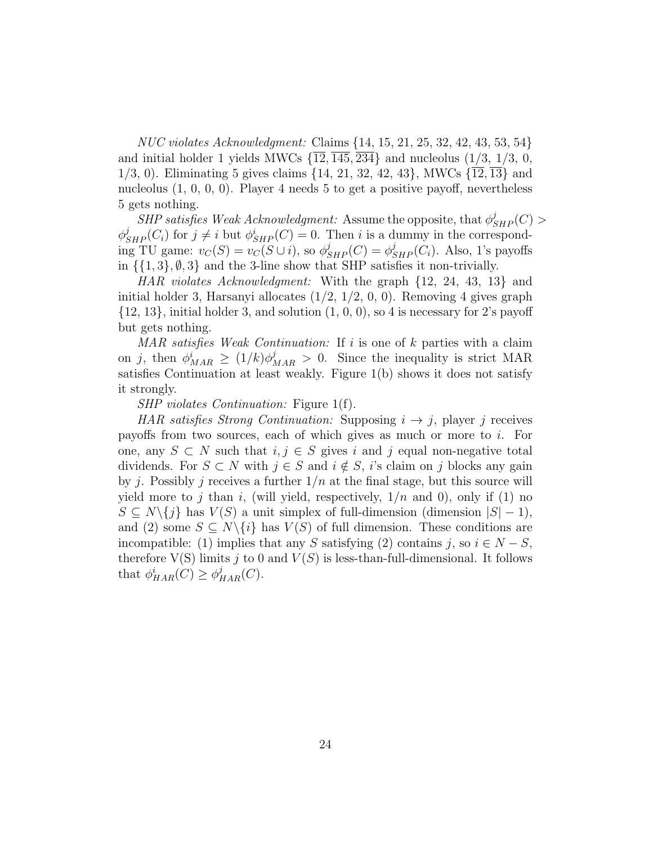NUC violates Acknowledgment: Claims {14, 15, 21, 25, 32, 42, 43, 53, 54} and initial holder 1 yields MWCs  $\{\overline{12}, \overline{145}, \overline{234}\}\$  and nucleolus  $(1/3, 1/3, 0, 1/3)\$ 1/3, 0). Eliminating 5 gives claims {14, 21, 32, 42, 43}, MWCs {12, 13} and nucleolus (1, 0, 0, 0). Player 4 needs 5 to get a positive payoff, nevertheless 5 gets nothing.

 $SHP$  satisfies Weak Acknowledgment: Assume the opposite, that  $\phi_{SHP}^j(C)$  $\phi_{SHP}^j(C_i)$  for  $j \neq i$  but  $\phi_{SHP}^i(C) = 0$ . Then i is a dummy in the corresponding TU game:  $v_C(S) = v_C(S \cup i)$ , so  $\phi_{SHP}^j(C) = \phi_{SHP}^j(C_i)$ . Also, 1's payoffs in  $\{\{1,3\}, \emptyset, 3\}$  and the 3-line show that SHP satisfies it non-trivially.

HAR violates Acknowledgment: With the graph {12, 24, 43, 13} and initial holder 3, Harsanyi allocates  $(1/2, 1/2, 0, 0)$ . Removing 4 gives graph  $\{12, 13\}$ , initial holder 3, and solution  $(1, 0, 0)$ , so 4 is necessary for 2's payoff but gets nothing.

MAR satisfies Weak Continuation: If  $i$  is one of  $k$  parties with a claim on j, then  $\phi_{MAR}^i \ge (1/k)\phi_{MAR}^j > 0$ . Since the inequality is strict MAR satisfies Continuation at least weakly. Figure 1(b) shows it does not satisfy it strongly.

SHP violates Continuation: Figure 1(f).

HAR satisfies Strong Continuation: Supposing  $i \rightarrow j$ , player j receives payoffs from two sources, each of which gives as much or more to i. For one, any  $S \subset N$  such that  $i, j \in S$  gives i and j equal non-negative total dividends. For  $S \subset N$  with  $j \in S$  and  $i \notin S$ , i's claim on j blocks any gain by j. Possibly j receives a further  $1/n$  at the final stage, but this source will yield more to j than i, (will yield, respectively,  $1/n$  and 0), only if (1) no  $S \subseteq N \setminus \{j\}$  has  $V(S)$  a unit simplex of full-dimension (dimension  $|S| - 1$ ), and (2) some  $S \subseteq N \setminus \{i\}$  has  $V(S)$  of full dimension. These conditions are incompatible: (1) implies that any S satisfying (2) contains j, so  $i \in N - S$ , therefore  $V(S)$  limits j to 0 and  $V(S)$  is less-than-full-dimensional. It follows that  $\phi_{HAR}^i(C) \geq \phi_{HAR}^j(C)$ .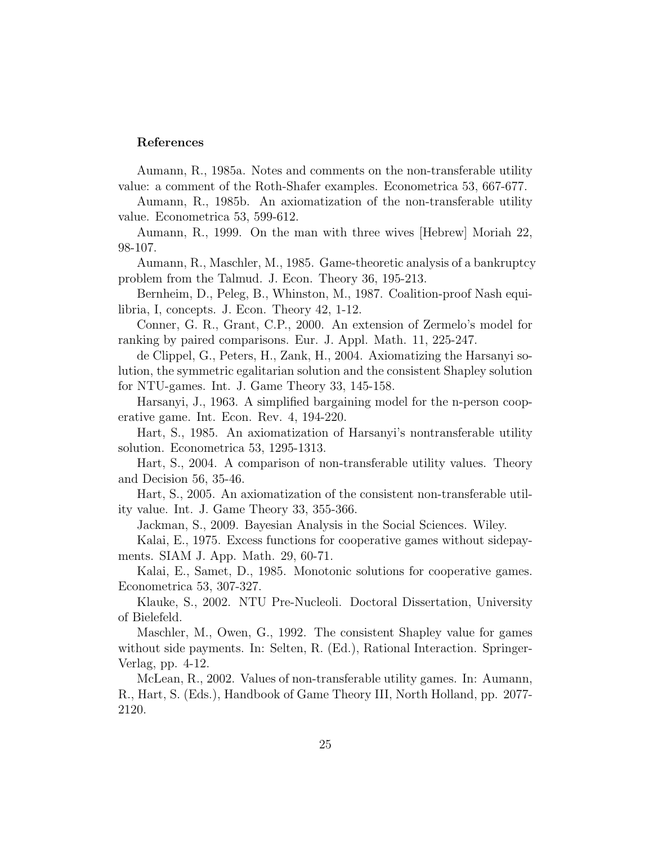#### References

Aumann, R., 1985a. Notes and comments on the non-transferable utility value: a comment of the Roth-Shafer examples. Econometrica 53, 667-677.

Aumann, R., 1985b. An axiomatization of the non-transferable utility value. Econometrica 53, 599-612.

Aumann, R., 1999. On the man with three wives [Hebrew] Moriah 22, 98-107.

Aumann, R., Maschler, M., 1985. Game-theoretic analysis of a bankruptcy problem from the Talmud. J. Econ. Theory 36, 195-213.

Bernheim, D., Peleg, B., Whinston, M., 1987. Coalition-proof Nash equilibria, I, concepts. J. Econ. Theory 42, 1-12.

Conner, G. R., Grant, C.P., 2000. An extension of Zermelo's model for ranking by paired comparisons. Eur. J. Appl. Math. 11, 225-247.

de Clippel, G., Peters, H., Zank, H., 2004. Axiomatizing the Harsanyi solution, the symmetric egalitarian solution and the consistent Shapley solution for NTU-games. Int. J. Game Theory 33, 145-158.

Harsanyi, J., 1963. A simplified bargaining model for the n-person cooperative game. Int. Econ. Rev. 4, 194-220.

Hart, S., 1985. An axiomatization of Harsanyi's nontransferable utility solution. Econometrica 53, 1295-1313.

Hart, S., 2004. A comparison of non-transferable utility values. Theory and Decision 56, 35-46.

Hart, S., 2005. An axiomatization of the consistent non-transferable utility value. Int. J. Game Theory 33, 355-366.

Jackman, S., 2009. Bayesian Analysis in the Social Sciences. Wiley.

Kalai, E., 1975. Excess functions for cooperative games without sidepayments. SIAM J. App. Math. 29, 60-71.

Kalai, E., Samet, D., 1985. Monotonic solutions for cooperative games. Econometrica 53, 307-327.

Klauke, S., 2002. NTU Pre-Nucleoli. Doctoral Dissertation, University of Bielefeld.

Maschler, M., Owen, G., 1992. The consistent Shapley value for games without side payments. In: Selten, R. (Ed.), Rational Interaction. Springer-Verlag, pp. 4-12.

McLean, R., 2002. Values of non-transferable utility games. In: Aumann, R., Hart, S. (Eds.), Handbook of Game Theory III, North Holland, pp. 2077- 2120.